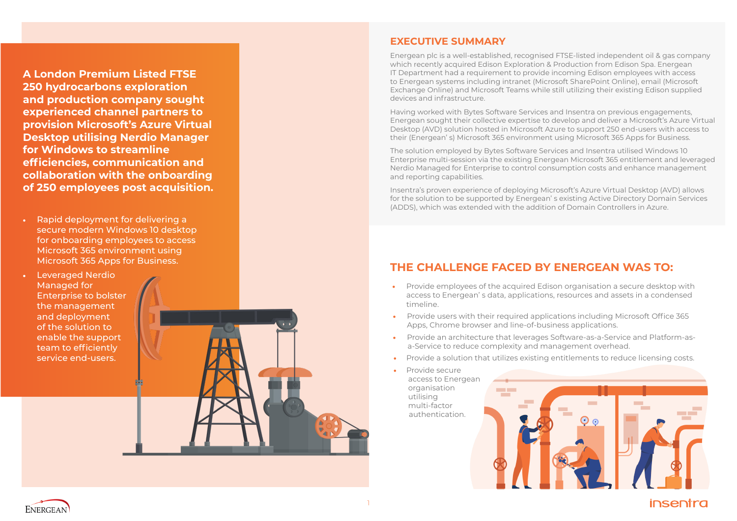



**A London Premium Listed FTSE 250 hydrocarbons exploration and production company sought experienced channel partners to provision Microsoft's Azure Virtual Desktop utilising Nerdio Manager for Windows to streamline efficiencies, communication and collaboration with the onboarding of 250 employees post acquisition.**

- Rapid deployment for delivering a secure modern Windows 10 desktop for onboarding employees to access Microsoft 365 environment using Microsoft 365 Apps for Business.
- Leveraged Nerdio Managed for Enterprise to bolster the management and deployment of the solution to enable the support team to efficiently service end-users.

#### **THE CHALLENGE FACED BY ENERGEAN WAS TO:**

- Provide employees of the acquired Edison organisation a secure desktop with access to Energean' s data, applications, resources and assets in a condensed timeline.
- Provide users with their required applications including Microsoft Office 365 Apps, Chrome browser and line-of-business applications.
- Provide an architecture that leverages Software-as-a-Service and Platform-asa-Service to reduce complexity and management overhead.
- Provide a solution that utilizes existing entitlements to reduce licensing costs.
- Provide secure access to Energean organisation utilising multi-factor authentication.



#### **EXECUTIVE SUMMARY**

Energean plc is a well-established, recognised FTSE-listed independent oil & gas company which recently acquired Edison Exploration & Production from Edison Spa. Energean IT Department had a requirement to provide incoming Edison employees with access to Energean systems including intranet (Microsoft SharePoint Online), email (Microsoft Exchange Online) and Microsoft Teams while still utilizing their existing Edison supplied devices and infrastructure.

Having worked with Bytes Software Services and Insentra on previous engagements, Energean sought their collective expertise to develop and deliver a Microsoft's Azure Virtual Desktop (AVD) solution hosted in Microsoft Azure to support 250 end-users with access to their (Energean' s) Microsoft 365 environment using Microsoft 365 Apps for Business.

The solution employed by Bytes Software Services and Insentra utilised Windows 10 Enterprise multi-session via the existing Energean Microsoft 365 entitlement and leveraged Nerdio Managed for Enterprise to control consumption costs and enhance management and reporting capabilities.

Insentra's proven experience of deploying Microsoft's Azure Virtual Desktop (AVD) allows for the solution to be supported by Energean' s existing Active Directory Domain Services (ADDS), which was extended with the addition of Domain Controllers in Azure.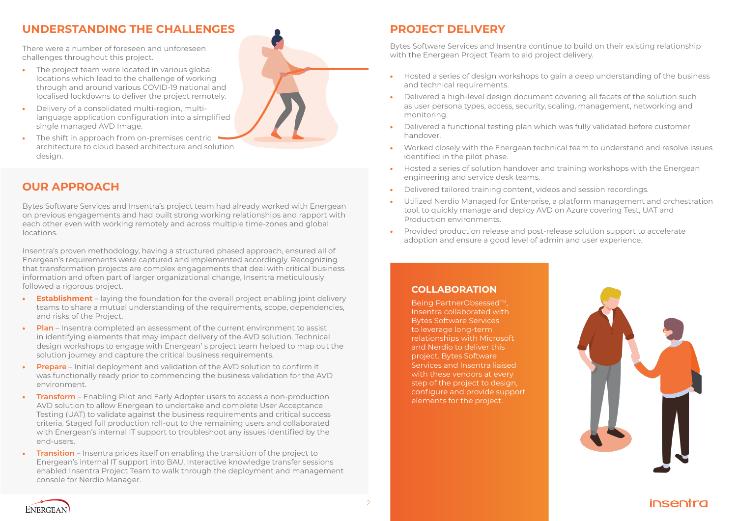There were a number of foreseen and unforeseen challenges throughout this project.

- The project team were located in various global locations which lead to the challenge of working through and around various COVID-19 national and localised lockdowns to deliver the project remotely.
- Delivery of a consolidated multi-region, multilanguage application configuration into a simplified single managed AVD Image.
- The shift in approach from on-premises centric architecture to cloud based architecture and solution design.

Bytes Software Services and Insentra's project team had already worked with Energean on previous engagements and had built strong working relationships and rapport with each other even with working remotely and across multiple time-zones and global locations.

Insentra's proven methodology, having a structured phased approach, ensured all of Energean's requirements were captured and implemented accordingly. Recognizing that transformation projects are complex engagements that deal with critical business information and often part of larger organizational change, Insentra meticulously followed a rigorous project.

- **Establishment** laying the foundation for the overall project enabling joint delivery teams to share a mutual understanding of the requirements, scope, dependencies, and risks of the Project.
- **Plan** Insentra completed an assessment of the current environment to assist in identifying elements that may impact delivery of the AVD solution. Technical design workshops to engage with Energean' s project team helped to map out the solution journey and capture the critical business requirements.
- **Prepare** Initial deployment and validation of the AVD solution to confirm it was functionally ready prior to commencing the business validation for the AVD environment.
- **Transform** Enabling Pilot and Early Adopter users to access a non-production AVD solution to allow Energean to undertake and complete User Acceptance Testing (UAT) to validate against the business requirements and critical success criteria. Staged full production roll-out to the remaining users and collaborated with Energean's internal IT support to troubleshoot any issues identified by the end-users.
- **Transition** Insentra prides itself on enabling the transition of the project to Energean's internal IT support into BAU. Interactive knowledge transfer sessions enabled Insentra Project Team to walk through the deployment and management console for Nerdio Manager.

Being PartnerObsessed<sup>™</sup>, Insentra collaborated with Bytes Software Services to leverage long-term relationships with Microsoft and Nerdio to deliver this project. Bytes Software Services and Insentra liaised with these vendors at every step of the project to design, configure and provide support elements for the project.



# **UNDERSTANDING THE CHALLENGES**

#### **OUR APPROACH**

# **PROJECT DELIVERY**

Bytes Software Services and Insentra continue to build on their existing relationship with the Energean Project Team to aid project delivery.

• Worked closely with the Energean technical team to understand and resolve issues

- Hosted a series of design workshops to gain a deep understanding of the business and technical requirements.
- Delivered a high-level design document covering all facets of the solution such as user persona types, access, security, scaling, management, networking and monitoring.
- Delivered a functional testing plan which was fully validated before customer handover.
- identified in the pilot phase.
- Hosted a series of solution handover and training workshops with the Energean engineering and service desk teams.
- Delivered tailored training content, videos and session recordings.
- tool, to quickly manage and deploy AVD on Azure covering Test, UAT and Production environments.
- Provided production release and post-release solution support to accelerate adoption and ensure a good level of admin and user experience.

• Utilized Nerdio Managed for Enterprise, a platform management and orchestration





#### **COLLABORATION**